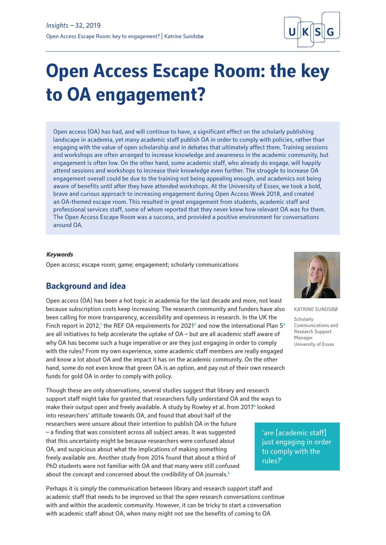

# **Open Access Escape Room: the key to OA engagement?**

Open access (OA) has had, and will continue to have, a significant effect on the scholarly publishing landscape in academia, yet many academic staff publish OA in order to comply with policies, rather than engaging with the value of open scholarship and in debates that ultimately affect them. Training sessions and workshops are often arranged to increase knowledge and awareness in the academic community, but engagement is often low. On the other hand, some academic staff, who already do engage, will happily attend sessions and workshops to increase their knowledge even further. The struggle to increase OA engagement overall could be due to the training not being appealing enough, and academics not being aware of benefits until after they have attended workshops. At the University of Essex, we took a bold, brave and curious approach to increasing engagement during Open Access Week 2018, and created an OA-themed escape room. This resulted in great engagement from students, academic staff and professional services staff, some of whom reported that they never knew how relevant OA was for them. The Open Access Escape Room was a success, and provided a positive environment for conversations around OA.

### **Keywords**

Open access; escape room; game; engagement; scholarly communications

# **Background and idea**

Open access (OA) has been a hot topic in academia for the last decade and more, not least because subscription costs keep increasing. The research community and funders have also been calling for more transparency, accessibility and openness in research. In the UK the Finch report in 2012,<sup>1</sup> the REF OA requirements for 2021<sup>2</sup> and now the international Plan S<sup>3</sup> are all initiatives to help accelerate the uptake of OA – but are all academic staff aware of why OA has become such a huge imperative or are they just engaging in order to comply with the rules? From my own experience, some academic staff members are really engaged and know a lot about OA and the impact it has on the academic community. On the other hand, some do not even know that green OA is an option, and pay out of their own research funds for gold OA in order to comply with policy.

Though these are only observations, several studies suggest that library and research support staff might take for granted that researchers fully understand OA and the ways to make their output open and freely available. A study by Rowley et al. from 2017<sup>4</sup> looked into researchers' attitude towards OA, and found that about half of the researchers were unsure about their intention to publish OA in the future – a finding that was consistent across all subject areas. It was suggested that this uncertainty might be because researchers were confused about OA, and suspicious about what the implications of making something freely available are. Another study from 2014 found that about a third of PhD students were not familiar with OA and that many were still confused about the concept and concerned about the credibility of OA journals.**<sup>5</sup>**

Perhaps it is simply the communication between library and research support staff and academic staff that needs to be improved so that the open research conversations continue with and within the academic community. However, it can be tricky to start a conversation with academic staff about OA, when many might not see the benefits of coming to OA



KATRINE SUNDSBØ **Scholarly** Communications and Research Support Manager University of Essex

'are [academic staff] just engaging in order to comply with the rules?'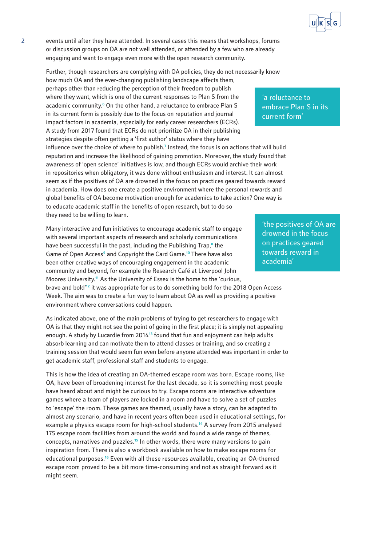

2 events until after they have attended. In several cases this means that workshops, forums or discussion groups on OA are not well attended, or attended by a few who are already engaging and want to engage even more with the open research community.

Further, though researchers are complying with OA policies, they do not necessarily know

how much OA and the ever-changing publishing landscape affects them, perhaps other than reducing the perception of their freedom to publish where they want, which is one of the current responses to Plan S from the academic community.**<sup>6</sup>** On the other hand, a reluctance to embrace Plan S in its current form is possibly due to the focus on reputation and journal impact factors in academia, especially for early career researchers (ECRs). A study from 2017 found that ECRs do not prioritize OA in their publishing strategies despite often getting a 'first author' status where they have influence over the choice of where to publish.**<sup>7</sup>** Instead, the focus is on actions that will build reputation and increase the likelihood of gaining promotion. Moreover, the study found that awareness of 'open science' initiatives is low, and though ECRs would archive their work in repositories when obligatory, it was done without enthusiasm and interest. It can almost seem as if the positives of OA are drowned in the focus on practices geared towards reward in academia. How does one create a positive environment where the personal rewards and global benefits of OA become motivation enough for academics to take action? One way is to educate academic staff in the benefits of open research, but to do so they need to be willing to learn.

Many interactive and fun initiatives to encourage academic staff to engage with several important aspects of research and scholarly communications have been successful in the past, including the Publishing Trap,**<sup>8</sup>** the Game of Open Access<sup>9</sup> and Copyright the Card Game.<sup>10</sup> There have also been other creative ways of encouraging engagement in the academic community and beyond, for example the Research Café at Liverpool John Moores University.**<sup>11</sup>** As the University of Essex is the home to the 'curious, brave and bold'**<sup>12</sup>** it was appropriate for us to do something bold for the 2018 Open Access Week. The aim was to create a fun way to learn about OA as well as providing a positive environment where conversations could happen.

As indicated above, one of the main problems of trying to get researchers to engage with OA is that they might not see the point of going in the first place; it is simply not appealing enough. A study by Lucardie from 2014**<sup>13</sup>** found that fun and enjoyment can help adults absorb learning and can motivate them to attend classes or training, and so creating a training session that would seem fun even before anyone attended was important in order to get academic staff, professional staff and students to engage.

This is how the idea of creating an OA-themed escape room was born. Escape rooms, like OA, have been of broadening interest for the last decade, so it is something most people have heard about and might be curious to try. Escape rooms are interactive adventure games where a team of players are locked in a room and have to solve a set of puzzles to 'escape' the room. These games are themed, usually have a story, can be adapted to almost any scenario, and have in recent years often been used in educational settings, for example a physics escape room for high-school students.**<sup>14</sup>** A survey from 2015 analysed 175 escape room facilities from around the world and found a wide range of themes, concepts, narratives and puzzles.**<sup>15</sup>** In other words, there were many versions to gain inspiration from. There is also a workbook available on how to make escape rooms for educational purposes.**<sup>16</sup>** Even with all these resources available, creating an OA-themed escape room proved to be a bit more time-consuming and not as straight forward as it might seem.

'a reluctance to embrace Plan S in its current form'

'the positives of OA are drowned in the focus on practices geared towards reward in academia'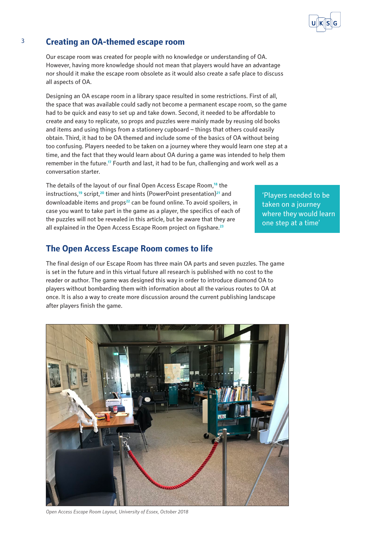

Our escape room was created for people with no knowledge or understanding of OA. However, having more knowledge should not mean that players would have an advantage nor should it make the escape room obsolete as it would also create a safe place to discuss all aspects of OA.

Designing an OA escape room in a library space resulted in some restrictions. First of all, the space that was available could sadly not become a permanent escape room, so the game had to be quick and easy to set up and take down. Second, it needed to be affordable to create and easy to replicate, so props and puzzles were mainly made by reusing old books and items and using things from a stationery cupboard – things that others could easily obtain. Third, it had to be OA themed and include some of the basics of OA without being too confusing. Players needed to be taken on a journey where they would learn one step at a time, and the fact that they would learn about OA during a game was intended to help them remember in the future.**<sup>17</sup>** Fourth and last, it had to be fun, challenging and work well as a conversation starter.

The details of the layout of our final Open Access Escape Room,**<sup>18</sup>** the instructions,**<sup>19</sup>** script,**<sup>20</sup>** timer and hints (PowerPoint presentation)**<sup>21</sup>** and downloadable items and props**<sup>22</sup>** can be found online. To avoid spoilers, in case you want to take part in the game as a player, the specifics of each of the puzzles will not be revealed in this article, but be aware that they are all explained in the Open Access Escape Room project on figshare.**<sup>23</sup>**

# **The Open Access Escape Room comes to life**

The final design of our Escape Room has three main OA parts and seven puzzles. The game is set in the future and in this virtual future all research is published with no cost to the reader or author. The game was designed this way in order to introduce diamond OA to players without bombarding them with information about all the various routes to OA at once. It is also a way to create more discussion around the current publishing landscape after players finish the game.



*Open Access Escape Room Layout, University of Essex, October 2018*

'Players needed to be taken on a journey where they would learn one step at a time'

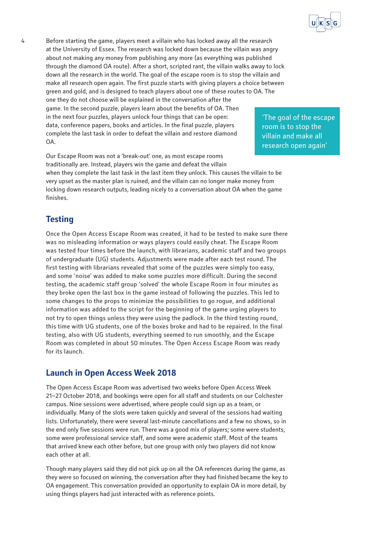

4 Before starting the game, players meet a villain who has locked away all the research at the University of Essex. The research was locked down because the villain was angry about not making any money from publishing any more (as everything was published through the diamond OA route). After a short, scripted rant, the villain walks away to lock down all the research in the world. The goal of the escape room is to stop the villain and make all research open again. The first puzzle starts with giving players a choice between green and gold, and is designed to teach players about one of these routes to OA. The one they do not choose will be explained in the conversation after the game. In the second puzzle, players learn about the benefits of OA. Then in the next four puzzles, players unlock four things that can be open: data, conference papers, books and articles. In the final puzzle, players complete the last task in order to defeat the villain and restore diamond OA.

Our Escape Room was not a 'break-out' one, as most escape rooms traditionally are. Instead, players win the game and defeat the villain when they complete the last task in the last item they unlock. This causes the villain to be very upset as the master plan is ruined, and the villain can no longer make money from locking down research outputs, leading nicely to a conversation about OA when the game finishes.

### **Testing**

Once the Open Access Escape Room was created, it had to be tested to make sure there was no misleading information or ways players could easily cheat. The Escape Room was tested four times before the launch, with librarians, academic staff and two groups of undergraduate (UG) students. Adjustments were made after each test round. The first testing with librarians revealed that some of the puzzles were simply too easy, and some 'noise' was added to make some puzzles more difficult. During the second testing, the academic staff group 'solved' the whole Escape Room in four minutes as they broke open the last box in the game instead of following the puzzles. This led to some changes to the props to minimize the possibilities to go rogue, and additional information was added to the script for the beginning of the game urging players to not try to open things unless they were using the padlock. In the third testing round, this time with UG students, one of the boxes broke and had to be repaired. In the final testing, also with UG students, everything seemed to run smoothly, and the Escape Room was completed in about 50 minutes. The Open Access Escape Room was ready for its launch.

### **Launch in Open Access Week 2018**

The Open Access Escape Room was advertised two weeks before Open Access Week 21–27 October 2018, and bookings were open for all staff and students on our Colchester campus. Nine sessions were advertised, where people could sign up as a team, or individually. Many of the slots were taken quickly and several of the sessions had waiting lists. Unfortunately, there were several last-minute cancellations and a few no shows, so in the end only five sessions were run. There was a good mix of players; some were students, some were professional service staff, and some were academic staff. Most of the teams that arrived knew each other before, but one group with only two players did not know each other at all.

Though many players said they did not pick up on all the OA references during the game, as they were so focused on winning, the conversation after they had finished became the key to OA engagement. This conversation provided an opportunity to explain OA in more detail, by using things players had just interacted with as reference points.

'The goal of the escape room is to stop the villain and make all research open again'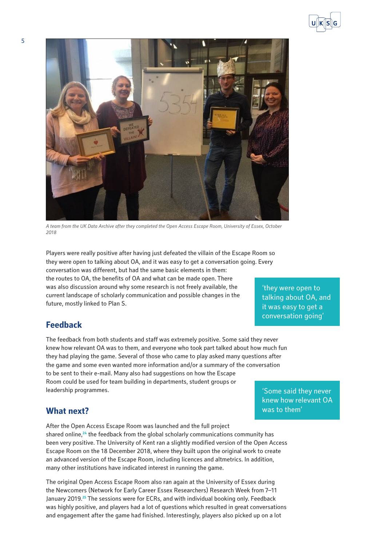



*A team from the UK Data Archive after they completed the Open Access Escape Room, University of Essex, October 2018*

Players were really positive after having just defeated the villain of the Escape Room so they were open to talking about OA, and it was easy to get a conversation going. Every conversation was different, but had the same basic elements in them: the routes to OA, the benefits of OA and what can be made open. There was also discussion around why some research is not freely available, the current landscape of scholarly communication and possible changes in the future, mostly linked to Plan S.

### 'they were open to talking about OA, and it was easy to get a conversation going'

# **Feedback**

The feedback from both students and staff was extremely positive. Some said they never knew how relevant OA was to them, and everyone who took part talked about how much fun they had playing the game. Several of those who came to play asked many questions after the game and some even wanted more information and/or a summary of the conversation to be sent to their e-mail. Many also had suggestions on how the Escape Room could be used for team building in departments, student groups or leadership programmes.

'Some said they never knew how relevant OA was to them'

# **What next?**

After the Open Access Escape Room was launched and the full project shared online,**<sup>24</sup>** the feedback from the global scholarly communications community has been very positive. The University of Kent ran a slightly modified version of the Open Access Escape Room on the 18 December 2018, where they built upon the original work to create an advanced version of the Escape Room, including licences and altmetrics. In addition, many other institutions have indicated interest in running the game.

The original Open Access Escape Room also ran again at the University of Essex during the Newcomers (Network for Early Career Essex Researchers) Research Week from 7–11 January 2019.**<sup>25</sup>** The sessions were for ECRs, and with individual booking only. Feedback was highly positive, and players had a lot of questions which resulted in great conversations and engagement after the game had finished. Interestingly, players also picked up on a lot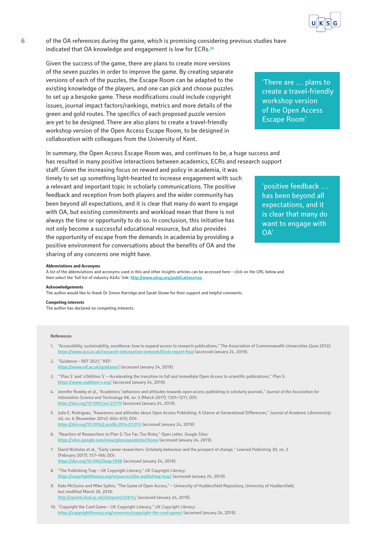

6 of the OA references during the game, which is promising considering previous studies have indicated that OA knowledge and engagement is low for ECRs.**<sup>26</sup>**

Given the success of the game, there are plans to create more versions of the seven puzzles in order to improve the game. By creating separate versions of each of the puzzles, the Escape Room can be adapted to the existing knowledge of the players, and one can pick and choose puzzles to set up a bespoke game. These modifications could include copyright issues, journal impact factors/rankings, metrics and more details of the green and gold routes. The specifics of each proposed puzzle version are yet to be designed. There are also plans to create a travel-friendly workshop version of the Open Access Escape Room, to be designed in collaboration with colleagues from the University of Kent.

In summary, the Open Access Escape Room was, and continues to be, a huge success and has resulted in many positive interactions between academics, ECRs and research support

staff. Given the increasing focus on reward and policy in academia, it was timely to set up something light-hearted to increase engagement with such a relevant and important topic in scholarly communications. The positive feedback and reception from both players and the wider community has been beyond all expectations, and it is clear that many do want to engage with OA, but existing commitments and workload mean that there is not always the time or opportunity to do so. In conclusion, this initiative has not only become a successful educational resource, but also provides the opportunity of escape from the demands in academia by providing a positive environment for conversations about the benefits of OA and the sharing of any concerns one might have.

'There are … plans to create a travel-friendly workshop version of the Open Access Escape Room'

'positive feedback … has been beyond all expectations, and it is clear that many do want to engage with OA'

#### **Abbreviations and Acronyms**

A list of the abbreviations and acronyms used in this and other *Insight*s articles can be accessed here – click on the URL below and then select the 'full list of industry A&As' link: **<http://www.uksg.org/publications#aa>**

#### **Acknowledgements**

The author would like to thank Dr Simon Kerridge and Sarah Slowe for their support and helpful comments.

#### **Competing interests**

The author has declared no competing interests.

#### **References**

- 1. "Accessibility, sustainability, excellence: how to expand access to research publications," The Association of Commonwealth Universities (June 2012): **<https://www.acu.ac.uk/research-information-network/finch-report-final>** (accessed January 24, 2019).
- 2. "Guidance REF 2021," REF: **<https://www.ref.ac.uk/guidance/>** (accessed January 24, 2019).
- 3. "'Plan S' and 'cOAlition S' Accelerating the transition to full and immediate Open Access to scientific publications," Plan S: **<https://www.coalition-s.org/>** (accessed January 24, 2019).
- 4. Jennifer Rowley et al., "Academics' behaviors and attitudes towards open access publishing in scholarly journals," *Journal of the Association for Information Science and Technology* 68, no. 5 (March 2017): 1201–1211; DOI: **<https://doi.org/10.1002/asi.23710>** (accessed January 24, 2019).
- 5. Julia E. Rodriguez, "Awareness and attitudes about Open Access Publishing: A Glance at Generational Differences," *Journal of Academic Librarianship*  40, no. 6 (November 2014): 604–610; DOI: **<https://doi.org/10.1016/j.acalib.2014.07.013>** (accessed January 24, 2019).
- 6. "Reaction of Researchers to Plan S: Too Far, Too Risky," *Open Letter, Google Sites*: **<https://sites.google.com/view/plansopenletter/home>** (accessed January 24, 2019).
- 7. David Nicholas et al., "Early career researchers: Scholarly behaviour and the prospect of change," *Learned Publishing* 30, no. 2 (February 2017): 157–166; DOI: **<https://doi.org/10.1002/leap.1098>** (accessed January 24, 2019).
- 8. "The Publishing Trap UK Copyright Literacy," *UK Copyright Literacy*: **<https://copyrightliteracy.org/resources/the-publishing-trap/>** (accessed January 24, 2019).
- 9. Kate McGuinn and Mike Spikin, "The Game of Open Access," University of Huddersfield Repository, University of Huddersfield, last modified March 26, 2018: **<http://eprints.hud.ac.uk/id/eprint/33874/>** (accessed January 24, 2019).
- 10. "Copyright the Card Game UK Copyright Literacy," *UK Copyright Literacy*: **<https://copyrightliteracy.org/resources/copyright-the-card-game/>** (accessed January 24, 2019).